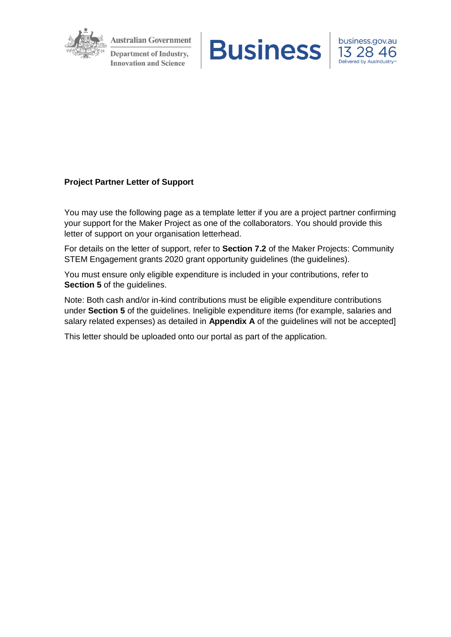

**Australian Government Department of Industry, Innovation and Science** 





## **Project Partner Letter of Support**

You may use the following page as a template letter if you are a project partner confirming your support for the Maker Project as one of the collaborators. You should provide this letter of support on your organisation letterhead.

For details on the letter of support, refer to **Section 7.2** of the Maker Projects: Community STEM Engagement grants 2020 grant opportunity guidelines (the guidelines).

You must ensure only eligible expenditure is included in your contributions, refer to **Section 5** of the guidelines.

Note: Both cash and/or in-kind contributions must be eligible expenditure contributions under **Section 5** of the guidelines. Ineligible expenditure items (for example, salaries and salary related expenses) as detailed in **Appendix A** of the guidelines will not be accepted]

This letter should be uploaded onto our portal as part of the application.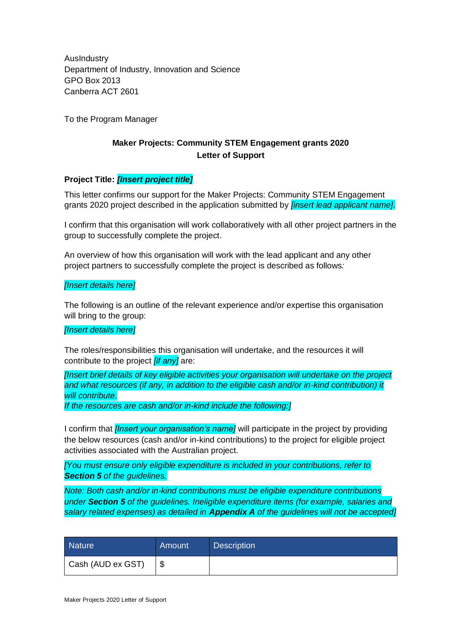AusIndustry Department of Industry, Innovation and Science GPO Box 2013 Canberra ACT 2601

To the Program Manager

# **Maker Projects: Community STEM Engagement grants 2020 Letter of Support**

### **Project Title:** *[Insert project title]*

This letter confirms our support for the Maker Projects: Community STEM Engagement grants 2020 project described in the application submitted by *[insert lead applicant name]*.

I confirm that this organisation will work collaboratively with all other project partners in the group to successfully complete the project.

An overview of how this organisation will work with the lead applicant and any other project partners to successfully complete the project is described as follows*:*

#### *[Insert details here]*

The following is an outline of the relevant experience and/or expertise this organisation will bring to the group:

### *[Insert details here]*

The roles/responsibilities this organisation will undertake, and the resources it will contribute to the project *[if any]* are:

*[Insert brief details of key eligible activities your organisation will undertake on the project and what resources (if any, in addition to the eligible cash and/or in-kind contribution) it will contribute.* 

*If the resources are cash and/or in-kind include the following:]*

I confirm that *[Insert your organisation's name]* will participate in the project by providing the below resources (cash and/or in-kind contributions) to the project for eligible project activities associated with the Australian project.

*[You must ensure only eligible expenditure is included in your contributions, refer to Section 5 of the guidelines.*

*Note: Both cash and/or in-kind contributions must be eligible expenditure contributions under Section 5 of the guidelines. Ineligible expenditure items (for example, salaries and salary related expenses) as detailed in Appendix A of the guidelines will not be accepted]*

| <b>Nature</b>     | Amount | <b>Description</b> |
|-------------------|--------|--------------------|
| Cash (AUD ex GST) | -\$    |                    |